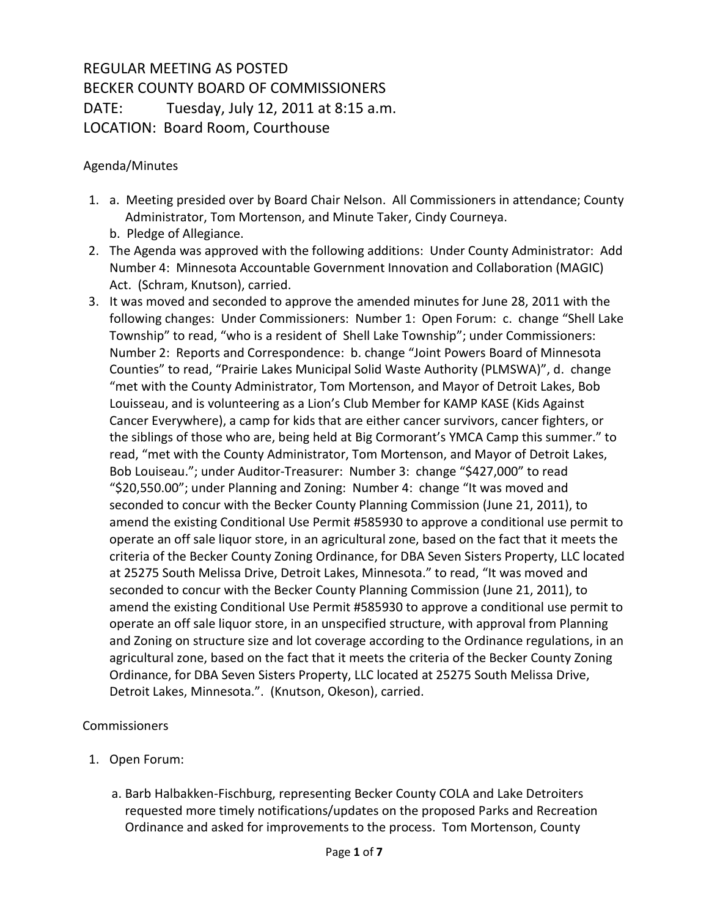## REGULAR MEETING AS POSTED BECKER COUNTY BOARD OF COMMISSIONERS DATE: Tuesday, July 12, 2011 at 8:15 a.m. LOCATION: Board Room, Courthouse

## Agenda/Minutes

- 1. a. Meeting presided over by Board Chair Nelson. All Commissioners in attendance; County Administrator, Tom Mortenson, and Minute Taker, Cindy Courneya. b. Pledge of Allegiance.
- 2. The Agenda was approved with the following additions: Under County Administrator: Add Number 4: Minnesota Accountable Government Innovation and Collaboration (MAGIC) Act. (Schram, Knutson), carried.
- 3. It was moved and seconded to approve the amended minutes for June 28, 2011 with the following changes: Under Commissioners: Number 1: Open Forum: c. change "Shell Lake Township" to read, "who is a resident of Shell Lake Township"; under Commissioners: Number 2: Reports and Correspondence: b. change "Joint Powers Board of Minnesota Counties" to read, "Prairie Lakes Municipal Solid Waste Authority (PLMSWA)", d. change "met with the County Administrator, Tom Mortenson, and Mayor of Detroit Lakes, Bob Louisseau, and is volunteering as a Lion's Club Member for KAMP KASE (Kids Against Cancer Everywhere), a camp for kids that are either cancer survivors, cancer fighters, or the siblings of those who are, being held at Big Cormorant's YMCA Camp this summer." to read, "met with the County Administrator, Tom Mortenson, and Mayor of Detroit Lakes, Bob Louiseau."; under Auditor-Treasurer: Number 3: change "\$427,000" to read "\$20,550.00"; under Planning and Zoning: Number 4: change "It was moved and seconded to concur with the Becker County Planning Commission (June 21, 2011), to amend the existing Conditional Use Permit #585930 to approve a conditional use permit to operate an off sale liquor store, in an agricultural zone, based on the fact that it meets the criteria of the Becker County Zoning Ordinance, for DBA Seven Sisters Property, LLC located at 25275 South Melissa Drive, Detroit Lakes, Minnesota." to read, "It was moved and seconded to concur with the Becker County Planning Commission (June 21, 2011), to amend the existing Conditional Use Permit #585930 to approve a conditional use permit to operate an off sale liquor store, in an unspecified structure, with approval from Planning and Zoning on structure size and lot coverage according to the Ordinance regulations, in an agricultural zone, based on the fact that it meets the criteria of the Becker County Zoning Ordinance, for DBA Seven Sisters Property, LLC located at 25275 South Melissa Drive, Detroit Lakes, Minnesota.". (Knutson, Okeson), carried.

## Commissioners

- 1. Open Forum:
	- a. Barb Halbakken-Fischburg, representing Becker County COLA and Lake Detroiters requested more timely notifications/updates on the proposed Parks and Recreation Ordinance and asked for improvements to the process. Tom Mortenson, County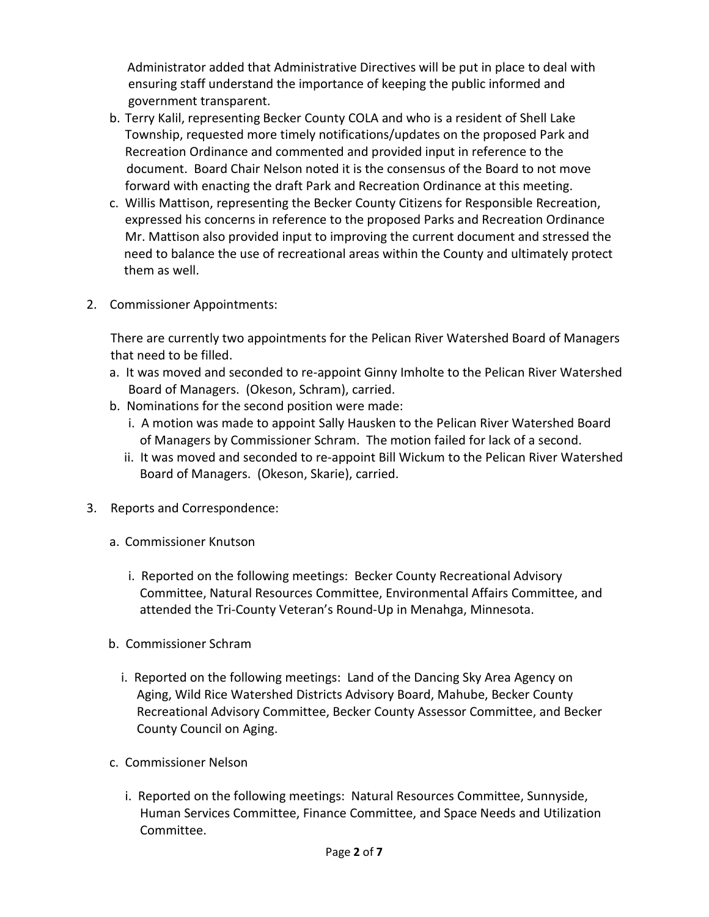Administrator added that Administrative Directives will be put in place to deal with ensuring staff understand the importance of keeping the public informed and government transparent.

- b. Terry Kalil, representing Becker County COLA and who is a resident of Shell Lake Township, requested more timely notifications/updates on the proposed Park and Recreation Ordinance and commented and provided input in reference to the document. Board Chair Nelson noted it is the consensus of the Board to not move forward with enacting the draft Park and Recreation Ordinance at this meeting.
- c. Willis Mattison, representing the Becker County Citizens for Responsible Recreation, expressed his concerns in reference to the proposed Parks and Recreation Ordinance Mr. Mattison also provided input to improving the current document and stressed the need to balance the use of recreational areas within the County and ultimately protect them as well.
- 2. Commissioner Appointments:

There are currently two appointments for the Pelican River Watershed Board of Managers that need to be filled.

- a. It was moved and seconded to re-appoint Ginny Imholte to the Pelican River Watershed Board of Managers. (Okeson, Schram), carried.
- b. Nominations for the second position were made:
	- i. A motion was made to appoint Sally Hausken to the Pelican River Watershed Board of Managers by Commissioner Schram. The motion failed for lack of a second.
	- ii. It was moved and seconded to re-appoint Bill Wickum to the Pelican River Watershed Board of Managers. (Okeson, Skarie), carried.
- 3. Reports and Correspondence:
	- a. Commissioner Knutson
		- i. Reported on the following meetings: Becker County Recreational Advisory Committee, Natural Resources Committee, Environmental Affairs Committee, and attended the Tri-County Veteran's Round-Up in Menahga, Minnesota.
	- b. Commissioner Schram
		- i. Reported on the following meetings: Land of the Dancing Sky Area Agency on Aging, Wild Rice Watershed Districts Advisory Board, Mahube, Becker County Recreational Advisory Committee, Becker County Assessor Committee, and Becker County Council on Aging.
	- c. Commissioner Nelson
		- i. Reported on the following meetings: Natural Resources Committee, Sunnyside, Human Services Committee, Finance Committee, and Space Needs and Utilization Committee.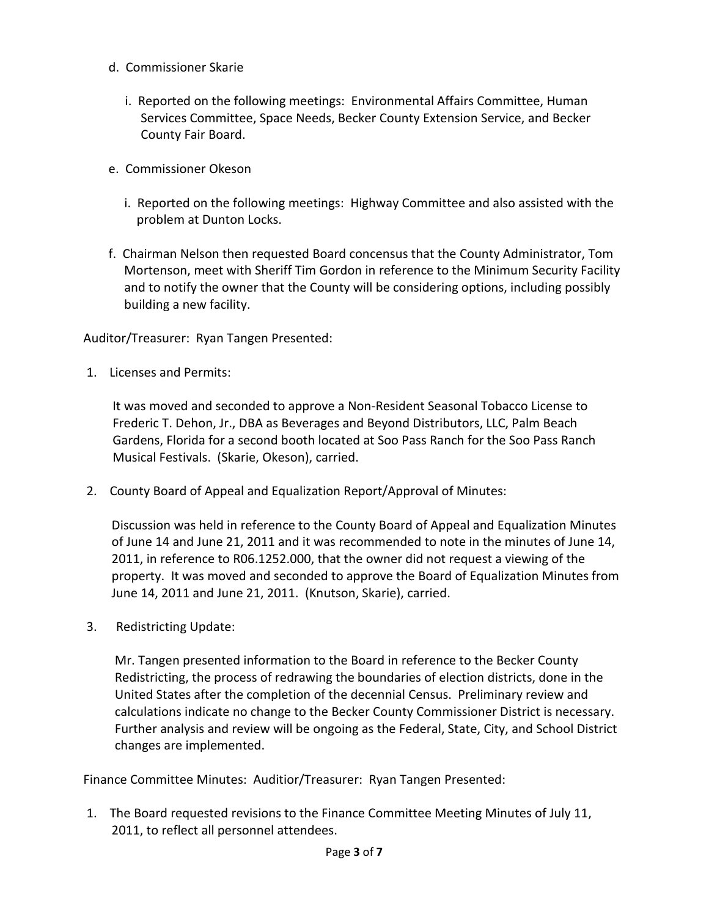- d. Commissioner Skarie
	- i. Reported on the following meetings: Environmental Affairs Committee, Human Services Committee, Space Needs, Becker County Extension Service, and Becker County Fair Board.
- e. Commissioner Okeson
	- i. Reported on the following meetings: Highway Committee and also assisted with the problem at Dunton Locks.
- f. Chairman Nelson then requested Board concensus that the County Administrator, Tom Mortenson, meet with Sheriff Tim Gordon in reference to the Minimum Security Facility and to notify the owner that the County will be considering options, including possibly building a new facility.

Auditor/Treasurer: Ryan Tangen Presented:

1. Licenses and Permits:

It was moved and seconded to approve a Non-Resident Seasonal Tobacco License to Frederic T. Dehon, Jr., DBA as Beverages and Beyond Distributors, LLC, Palm Beach Gardens, Florida for a second booth located at Soo Pass Ranch for the Soo Pass Ranch Musical Festivals. (Skarie, Okeson), carried.

2. County Board of Appeal and Equalization Report/Approval of Minutes:

 Discussion was held in reference to the County Board of Appeal and Equalization Minutes of June 14 and June 21, 2011 and it was recommended to note in the minutes of June 14, 2011, in reference to R06.1252.000, that the owner did not request a viewing of the property. It was moved and seconded to approve the Board of Equalization Minutes from June 14, 2011 and June 21, 2011. (Knutson, Skarie), carried.

3. Redistricting Update:

 Mr. Tangen presented information to the Board in reference to the Becker County Redistricting, the process of redrawing the boundaries of election districts, done in the United States after the completion of the decennial Census. Preliminary review and calculations indicate no change to the Becker County Commissioner District is necessary. Further analysis and review will be ongoing as the Federal, State, City, and School District changes are implemented.

Finance Committee Minutes: Auditior/Treasurer: Ryan Tangen Presented:

1. The Board requested revisions to the Finance Committee Meeting Minutes of July 11, 2011, to reflect all personnel attendees.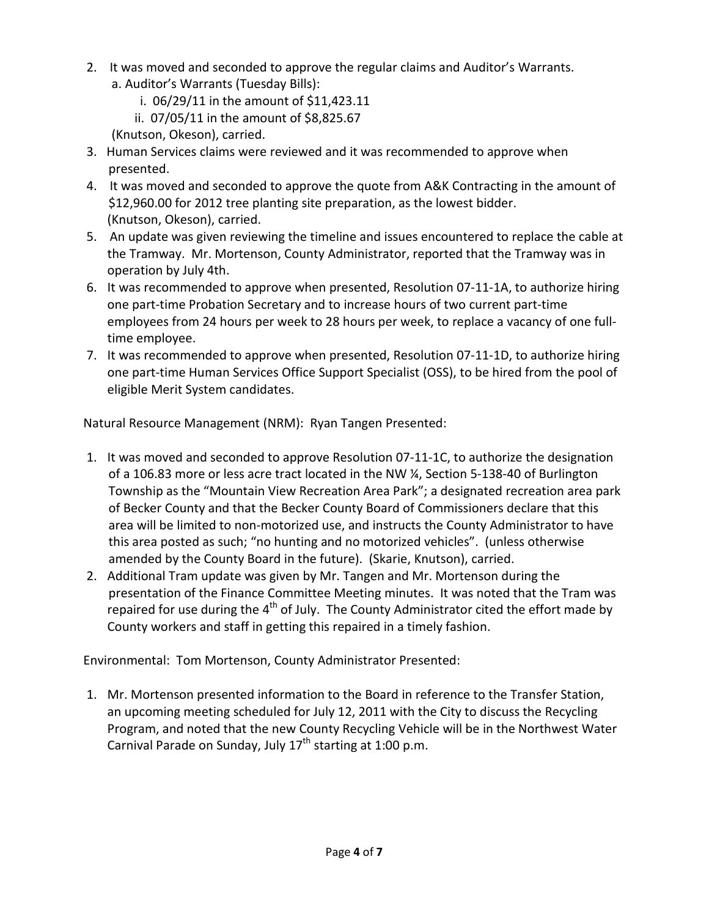- 2. It was moved and seconded to approve the regular claims and Auditor's Warrants. a. Auditor's Warrants (Tuesday Bills):
	- i. 06/29/11 in the amount of \$11,423.11
	- ii. 07/05/11 in the amount of \$8,825.67
	- (Knutson, Okeson), carried.
- 3. Human Services claims were reviewed and it was recommended to approve when presented.
- 4. It was moved and seconded to approve the quote from A&K Contracting in the amount of \$12,960.00 for 2012 tree planting site preparation, as the lowest bidder. (Knutson, Okeson), carried.
- 5. An update was given reviewing the timeline and issues encountered to replace the cable at the Tramway. Mr. Mortenson, County Administrator, reported that the Tramway was in operation by July 4th.
- 6. It was recommended to approve when presented, Resolution 07-11-1A, to authorize hiring one part-time Probation Secretary and to increase hours of two current part-time employees from 24 hours per week to 28 hours per week, to replace a vacancy of one fulltime employee.
- 7. It was recommended to approve when presented, Resolution 07-11-1D, to authorize hiring one part-time Human Services Office Support Specialist (OSS), to be hired from the pool of eligible Merit System candidates.

Natural Resource Management (NRM): Ryan Tangen Presented:

- 1. It was moved and seconded to approve Resolution 07-11-1C, to authorize the designation of a 106.83 more or less acre tract located in the NW ¼, Section 5-138-40 of Burlington Township as the "Mountain View Recreation Area Park"; a designated recreation area park of Becker County and that the Becker County Board of Commissioners declare that this area will be limited to non-motorized use, and instructs the County Administrator to have this area posted as such; "no hunting and no motorized vehicles". (unless otherwise amended by the County Board in the future). (Skarie, Knutson), carried.
- 2. Additional Tram update was given by Mr. Tangen and Mr. Mortenson during the presentation of the Finance Committee Meeting minutes. It was noted that the Tram was repaired for use during the  $4<sup>th</sup>$  of July. The County Administrator cited the effort made by County workers and staff in getting this repaired in a timely fashion.

Environmental: Tom Mortenson, County Administrator Presented:

1. Mr. Mortenson presented information to the Board in reference to the Transfer Station, an upcoming meeting scheduled for July 12, 2011 with the City to discuss the Recycling Program, and noted that the new County Recycling Vehicle will be in the Northwest Water Carnival Parade on Sunday, July  $17<sup>th</sup>$  starting at 1:00 p.m.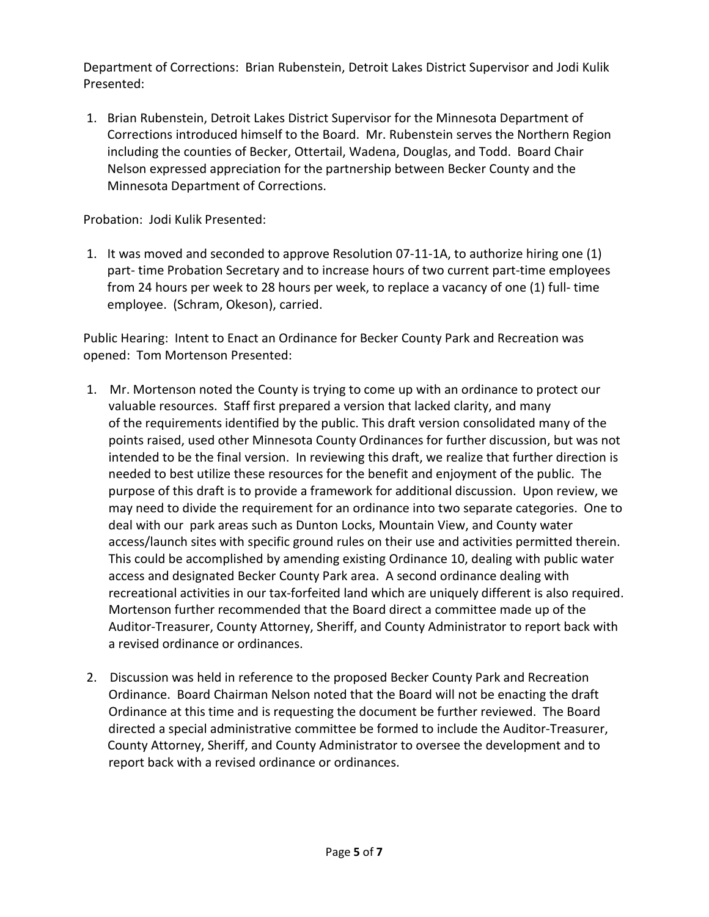Department of Corrections: Brian Rubenstein, Detroit Lakes District Supervisor and Jodi Kulik Presented:

1. Brian Rubenstein, Detroit Lakes District Supervisor for the Minnesota Department of Corrections introduced himself to the Board. Mr. Rubenstein serves the Northern Region including the counties of Becker, Ottertail, Wadena, Douglas, and Todd. Board Chair Nelson expressed appreciation for the partnership between Becker County and the Minnesota Department of Corrections.

Probation: Jodi Kulik Presented:

1. It was moved and seconded to approve Resolution 07-11-1A, to authorize hiring one (1) part- time Probation Secretary and to increase hours of two current part-time employees from 24 hours per week to 28 hours per week, to replace a vacancy of one (1) full- time employee. (Schram, Okeson), carried.

Public Hearing: Intent to Enact an Ordinance for Becker County Park and Recreation was opened: Tom Mortenson Presented:

- 1. Mr. Mortenson noted the County is trying to come up with an ordinance to protect our valuable resources. Staff first prepared a version that lacked clarity, and many of the requirements identified by the public. This draft version consolidated many of the points raised, used other Minnesota County Ordinances for further discussion, but was not intended to be the final version. In reviewing this draft, we realize that further direction is needed to best utilize these resources for the benefit and enjoyment of the public. The purpose of this draft is to provide a framework for additional discussion. Upon review, we may need to divide the requirement for an ordinance into two separate categories. One to deal with our park areas such as Dunton Locks, Mountain View, and County water access/launch sites with specific ground rules on their use and activities permitted therein. This could be accomplished by amending existing Ordinance 10, dealing with public water access and designated Becker County Park area. A second ordinance dealing with recreational activities in our tax-forfeited land which are uniquely different is also required. Mortenson further recommended that the Board direct a committee made up of the Auditor-Treasurer, County Attorney, Sheriff, and County Administrator to report back with a revised ordinance or ordinances.
- 2. Discussion was held in reference to the proposed Becker County Park and Recreation Ordinance. Board Chairman Nelson noted that the Board will not be enacting the draft Ordinance at this time and is requesting the document be further reviewed. The Board directed a special administrative committee be formed to include the Auditor-Treasurer, County Attorney, Sheriff, and County Administrator to oversee the development and to report back with a revised ordinance or ordinances.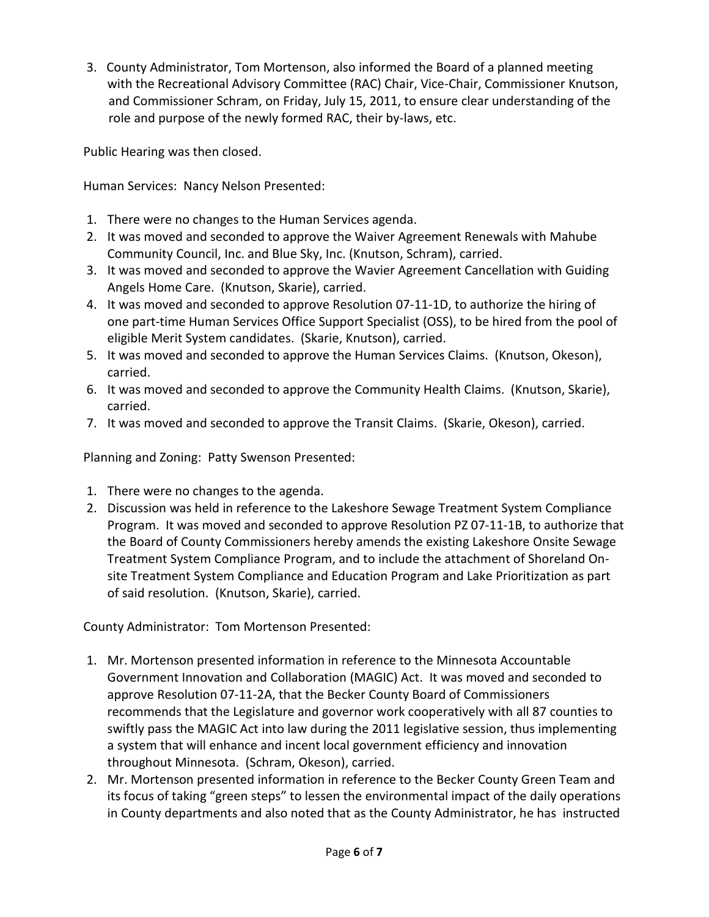3.County Administrator, Tom Mortenson, also informed the Board of a planned meeting with the Recreational Advisory Committee (RAC) Chair, Vice-Chair, Commissioner Knutson, and Commissioner Schram, on Friday, July 15, 2011, to ensure clear understanding of the role and purpose of the newly formed RAC, their by-laws, etc.

Public Hearing was then closed.

Human Services: Nancy Nelson Presented:

- 1. There were no changes to the Human Services agenda.
- 2. It was moved and seconded to approve the Waiver Agreement Renewals with Mahube Community Council, Inc. and Blue Sky, Inc. (Knutson, Schram), carried.
- 3. It was moved and seconded to approve the Wavier Agreement Cancellation with Guiding Angels Home Care. (Knutson, Skarie), carried.
- 4. It was moved and seconded to approve Resolution 07-11-1D, to authorize the hiring of one part-time Human Services Office Support Specialist (OSS), to be hired from the pool of eligible Merit System candidates. (Skarie, Knutson), carried.
- 5. It was moved and seconded to approve the Human Services Claims. (Knutson, Okeson), carried.
- 6. It was moved and seconded to approve the Community Health Claims. (Knutson, Skarie), carried.
- 7. It was moved and seconded to approve the Transit Claims. (Skarie, Okeson), carried.

Planning and Zoning: Patty Swenson Presented:

- 1. There were no changes to the agenda.
- 2. Discussion was held in reference to the Lakeshore Sewage Treatment System Compliance Program. It was moved and seconded to approve Resolution PZ 07-11-1B, to authorize that the Board of County Commissioners hereby amends the existing Lakeshore Onsite Sewage Treatment System Compliance Program, and to include the attachment of Shoreland Onsite Treatment System Compliance and Education Program and Lake Prioritization as part of said resolution. (Knutson, Skarie), carried.

County Administrator: Tom Mortenson Presented:

- 1. Mr. Mortenson presented information in reference to the Minnesota Accountable Government Innovation and Collaboration (MAGIC) Act. It was moved and seconded to approve Resolution 07-11-2A, that the Becker County Board of Commissioners recommends that the Legislature and governor work cooperatively with all 87 counties to swiftly pass the MAGIC Act into law during the 2011 legislative session, thus implementing a system that will enhance and incent local government efficiency and innovation throughout Minnesota. (Schram, Okeson), carried.
- 2. Mr. Mortenson presented information in reference to the Becker County Green Team and its focus of taking "green steps" to lessen the environmental impact of the daily operations in County departments and also noted that as the County Administrator, he has instructed